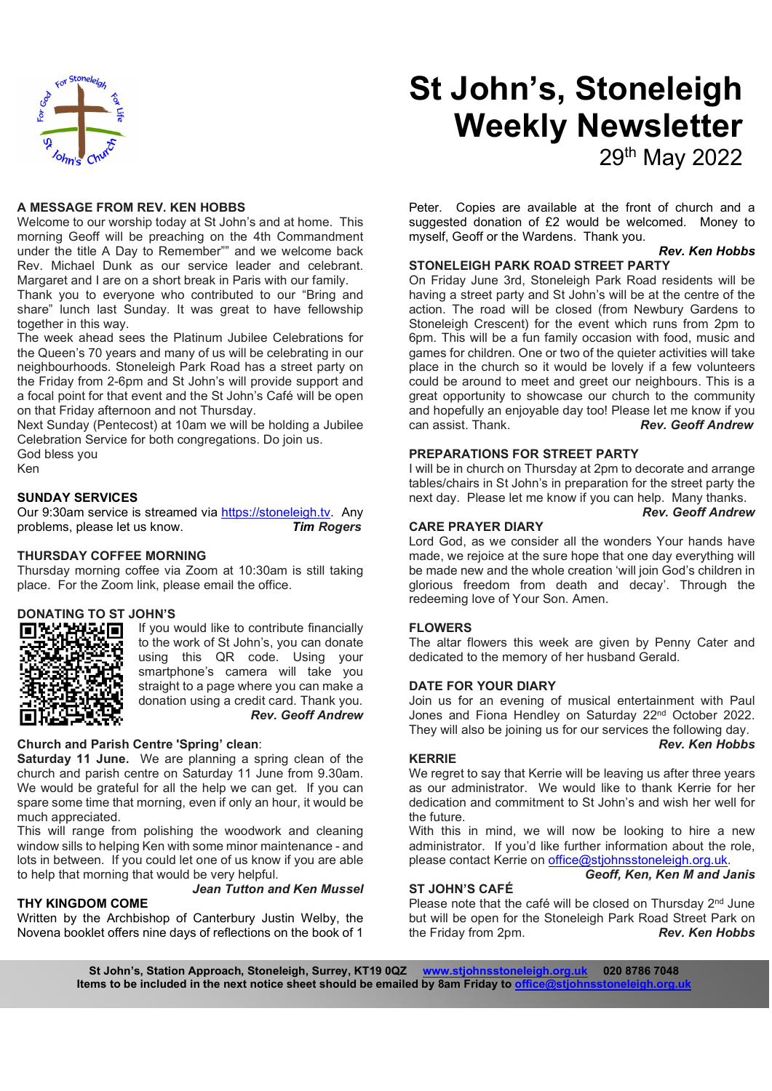

# St John's, Stoneleigh Weekly Newsletter 29th May 2022

A MESSAGE FROM REV. KEN HOBBS

Welcome to our worship today at St John's and at home. This morning Geoff will be preaching on the 4th Commandment under the title A Day to Remember"" and we welcome back Rev. Michael Dunk as our service leader and celebrant. Margaret and I are on a short break in Paris with our family.

Thank you to everyone who contributed to our "Bring and share" lunch last Sunday. It was great to have fellowship together in this way.

The week ahead sees the Platinum Jubilee Celebrations for the Queen's 70 years and many of us will be celebrating in our neighbourhoods. Stoneleigh Park Road has a street party on the Friday from 2-6pm and St John's will provide support and a focal point for that event and the St John's Café will be open on that Friday afternoon and not Thursday.

Next Sunday (Pentecost) at 10am we will be holding a Jubilee Celebration Service for both congregations. Do join us. God bless you Ken

#### SUNDAY SERVICES

Our 9:30am service is streamed via https://stoneleigh.tv. Any problems, please let us know. Tim Rogers

#### THURSDAY COFFEE MORNING

Thursday morning coffee via Zoom at 10:30am is still taking place. For the Zoom link, please email the office.

## DONATING TO ST JOHN'S



If you would like to contribute financially to the work of St John's, you can donate using this QR code. Using your smartphone's camera will take you straight to a page where you can make a donation using a credit card. Thank you. Rev. Geoff Andrew

#### Church and Parish Centre 'Spring' clean:

Saturday 11 June. We are planning a spring clean of the church and parish centre on Saturday 11 June from 9.30am. We would be grateful for all the help we can get. If you can spare some time that morning, even if only an hour, it would be much appreciated.

This will range from polishing the woodwork and cleaning window sills to helping Ken with some minor maintenance - and lots in between. If you could let one of us know if you are able to help that morning that would be very helpful.

#### THY KINGDOM COME

## Jean Tutton and Ken Mussel

Written by the Archbishop of Canterbury Justin Welby, the Novena booklet offers nine days of reflections on the book of 1

Peter. Copies are available at the front of church and a suggested donation of £2 would be welcomed. Money to myself, Geoff or the Wardens. Thank you.

## Rev. Ken Hobbs

## STONELEIGH PARK ROAD STREET PARTY

On Friday June 3rd, Stoneleigh Park Road residents will be having a street party and St John's will be at the centre of the action. The road will be closed (from Newbury Gardens to Stoneleigh Crescent) for the event which runs from 2pm to 6pm. This will be a fun family occasion with food, music and games for children. One or two of the quieter activities will take place in the church so it would be lovely if a few volunteers could be around to meet and greet our neighbours. This is a great opportunity to showcase our church to the community and hopefully an enjoyable day too! Please let me know if you **Rev. Geoff Andrew** 

#### PREPARATIONS FOR STREET PARTY

I will be in church on Thursday at 2pm to decorate and arrange tables/chairs in St John's in preparation for the street party the next day. Please let me know if you can help. Many thanks.

Rev. Geoff Andrew

#### CARE PRAYER DIARY

Lord God, as we consider all the wonders Your hands have made, we rejoice at the sure hope that one day everything will be made new and the whole creation 'will join God's children in glorious freedom from death and decay'. Through the redeeming love of Your Son. Amen.

#### FLOWERS

The altar flowers this week are given by Penny Cater and dedicated to the memory of her husband Gerald.

#### DATE FOR YOUR DIARY

Join us for an evening of musical entertainment with Paul Jones and Fiona Hendley on Saturday 22<sup>nd</sup> October 2022. They will also be joining us for our services the following day. Rev. Ken Hobbs

#### KERRIE

We regret to say that Kerrie will be leaving us after three years as our administrator. We would like to thank Kerrie for her dedication and commitment to St John's and wish her well for the future.

With this in mind, we will now be looking to hire a new administrator. If you'd like further information about the role, please contact Kerrie on office@stjohnsstoneleigh.org.uk. Geoff, Ken, Ken M and Janis

#### ST JOHN'S CAFÉ

Please note that the café will be closed on Thursday 2<sup>nd</sup> June but will be open for the Stoneleigh Park Road Street Park on<br>the Friday from 2pm. **Rev. Ken Hobbs** the Friday from 2pm.

St John's, Station Approach, Stoneleigh, Surrey, KT19 0QZ www.stjohnsstoneleigh.org.uk 020 8786 7048 Items to be included in the next notice sheet should be emailed by 8am Friday to office@stjohns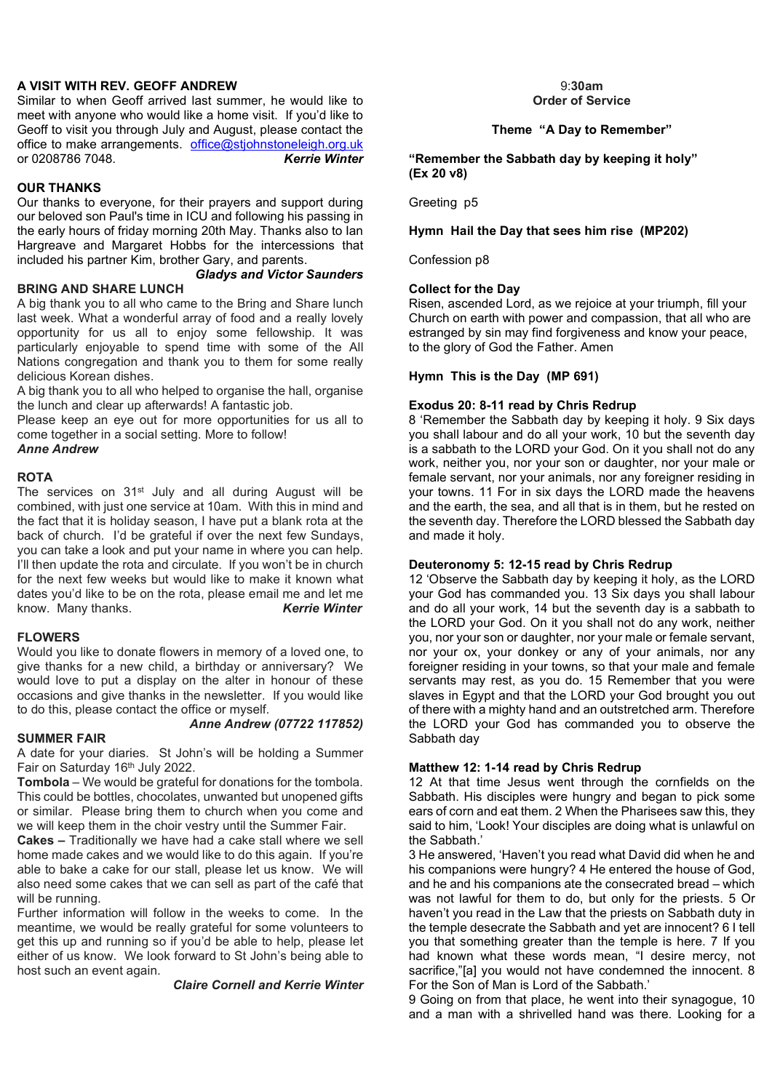## A VISIT WITH REV. GEOFF ANDREW

Similar to when Geoff arrived last summer, he would like to meet with anyone who would like a home visit. If you'd like to Geoff to visit you through July and August, please contact the office to make arrangements. office@stjohnstoneleigh.org.uk<br>or 0208786 7048. Kerrie Winter or 0208786 7048.

## OUR THANKS

Our thanks to everyone, for their prayers and support during our beloved son Paul's time in ICU and following his passing in the early hours of friday morning 20th May. Thanks also to Ian Hargreave and Margaret Hobbs for the intercessions that included his partner Kim, brother Gary, and parents.

Gladys and Victor Saunders

#### BRING AND SHARE LUNCH

A big thank you to all who came to the Bring and Share lunch last week. What a wonderful array of food and a really lovely opportunity for us all to enjoy some fellowship. It was particularly enjoyable to spend time with some of the All Nations congregation and thank you to them for some really delicious Korean dishes.

A big thank you to all who helped to organise the hall, organise the lunch and clear up afterwards! A fantastic job.

Please keep an eye out for more opportunities for us all to come together in a social setting. More to follow!

Anne Andrew

#### ROTA

The services on 31<sup>st</sup> July and all during August will be combined, with just one service at 10am. With this in mind and the fact that it is holiday season, I have put a blank rota at the back of church. I'd be grateful if over the next few Sundays, you can take a look and put your name in where you can help. I'll then update the rota and circulate. If you won't be in church for the next few weeks but would like to make it known what dates you'd like to be on the rota, please email me and let me know. Many thanks. Kerrie Winter

#### FLOWERS

Would you like to donate flowers in memory of a loved one, to give thanks for a new child, a birthday or anniversary? We would love to put a display on the alter in honour of these occasions and give thanks in the newsletter. If you would like to do this, please contact the office or myself.

#### SUMMER FAIR

Anne Andrew (07722 117852)

A date for your diaries. St John's will be holding a Summer Fair on Saturday 16<sup>th</sup> July 2022.

Tombola – We would be grateful for donations for the tombola. This could be bottles, chocolates, unwanted but unopened gifts or similar. Please bring them to church when you come and we will keep them in the choir vestry until the Summer Fair.

Cakes – Traditionally we have had a cake stall where we sell home made cakes and we would like to do this again. If you're able to bake a cake for our stall, please let us know. We will also need some cakes that we can sell as part of the café that will be running.

Further information will follow in the weeks to come. In the meantime, we would be really grateful for some volunteers to get this up and running so if you'd be able to help, please let either of us know. We look forward to St John's being able to host such an event again.

## Claire Cornell and Kerrie Winter

#### 9:30am Order of Service

## Theme "A Day to Remember"

"Remember the Sabbath day by keeping it holy" (Ex 20 v8)

Greeting p5

#### Hymn Hail the Day that sees him rise (MP202)

Confession p8

#### Collect for the Day

Risen, ascended Lord, as we rejoice at your triumph, fill your Church on earth with power and compassion, that all who are estranged by sin may find forgiveness and know your peace, to the glory of God the Father. Amen

#### Hymn This is the Day (MP 691)

#### Exodus 20: 8-11 read by Chris Redrup

8 'Remember the Sabbath day by keeping it holy. 9 Six days you shall labour and do all your work, 10 but the seventh day is a sabbath to the LORD your God. On it you shall not do any work, neither you, nor your son or daughter, nor your male or female servant, nor your animals, nor any foreigner residing in your towns. 11 For in six days the LORD made the heavens and the earth, the sea, and all that is in them, but he rested on the seventh day. Therefore the LORD blessed the Sabbath day and made it holy.

#### Deuteronomy 5: 12-15 read by Chris Redrup

12 'Observe the Sabbath day by keeping it holy, as the LORD your God has commanded you. 13 Six days you shall labour and do all your work, 14 but the seventh day is a sabbath to the LORD your God. On it you shall not do any work, neither you, nor your son or daughter, nor your male or female servant, nor your ox, your donkey or any of your animals, nor any foreigner residing in your towns, so that your male and female servants may rest, as you do. 15 Remember that you were slaves in Egypt and that the LORD your God brought you out of there with a mighty hand and an outstretched arm. Therefore the LORD your God has commanded you to observe the Sabbath day

#### Matthew 12: 1-14 read by Chris Redrup

12 At that time Jesus went through the cornfields on the Sabbath. His disciples were hungry and began to pick some ears of corn and eat them. 2 When the Pharisees saw this, they said to him, 'Look! Your disciples are doing what is unlawful on the Sabbath.'

3 He answered, 'Haven't you read what David did when he and his companions were hungry? 4 He entered the house of God, and he and his companions ate the consecrated bread – which was not lawful for them to do, but only for the priests. 5 Or haven't you read in the Law that the priests on Sabbath duty in the temple desecrate the Sabbath and yet are innocent? 6 I tell you that something greater than the temple is here. 7 If you had known what these words mean, "I desire mercy, not sacrifice,"[a] you would not have condemned the innocent. 8 For the Son of Man is Lord of the Sabbath.'

9 Going on from that place, he went into their synagogue, 10 and a man with a shrivelled hand was there. Looking for a